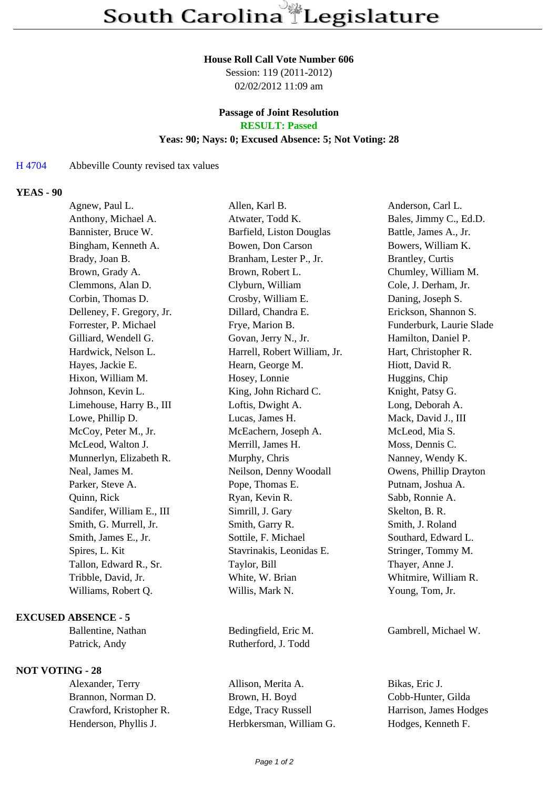#### **House Roll Call Vote Number 606**

Session: 119 (2011-2012) 02/02/2012 11:09 am

# **Passage of Joint Resolution**

**RESULT: Passed**

### **Yeas: 90; Nays: 0; Excused Absence: 5; Not Voting: 28**

## H 4704 Abbeville County revised tax values

## **YEAS - 90**

| Agnew, Paul L.            | Allen, Karl B.               | Anderson, Carl L.        |
|---------------------------|------------------------------|--------------------------|
| Anthony, Michael A.       | Atwater, Todd K.             | Bales, Jimmy C., Ed.D.   |
| Bannister, Bruce W.       | Barfield, Liston Douglas     | Battle, James A., Jr.    |
| Bingham, Kenneth A.       | Bowen, Don Carson            | Bowers, William K.       |
| Brady, Joan B.            | Branham, Lester P., Jr.      | <b>Brantley, Curtis</b>  |
| Brown, Grady A.           | Brown, Robert L.             | Chumley, William M.      |
| Clemmons, Alan D.         | Clyburn, William             | Cole, J. Derham, Jr.     |
| Corbin, Thomas D.         | Crosby, William E.           | Daning, Joseph S.        |
| Delleney, F. Gregory, Jr. | Dillard, Chandra E.          | Erickson, Shannon S.     |
| Forrester, P. Michael     | Frye, Marion B.              | Funderburk, Laurie Slade |
| Gilliard, Wendell G.      | Govan, Jerry N., Jr.         | Hamilton, Daniel P.      |
| Hardwick, Nelson L.       | Harrell, Robert William, Jr. | Hart, Christopher R.     |
| Hayes, Jackie E.          | Hearn, George M.             | Hiott, David R.          |
| Hixon, William M.         | Hosey, Lonnie                | Huggins, Chip            |
| Johnson, Kevin L.         | King, John Richard C.        | Knight, Patsy G.         |
| Limehouse, Harry B., III  | Loftis, Dwight A.            | Long, Deborah A.         |
| Lowe, Phillip D.          | Lucas, James H.              | Mack, David J., III      |
| McCoy, Peter M., Jr.      | McEachern, Joseph A.         | McLeod, Mia S.           |
| McLeod, Walton J.         | Merrill, James H.            | Moss, Dennis C.          |
| Munnerlyn, Elizabeth R.   | Murphy, Chris                | Nanney, Wendy K.         |
| Neal, James M.            | Neilson, Denny Woodall       | Owens, Phillip Drayton   |
| Parker, Steve A.          | Pope, Thomas E.              | Putnam, Joshua A.        |
| Quinn, Rick               | Ryan, Kevin R.               | Sabb, Ronnie A.          |
| Sandifer, William E., III | Simrill, J. Gary             | Skelton, B. R.           |
| Smith, G. Murrell, Jr.    | Smith, Garry R.              | Smith, J. Roland         |
| Smith, James E., Jr.      | Sottile, F. Michael          | Southard, Edward L.      |
| Spires, L. Kit            | Stavrinakis, Leonidas E.     | Stringer, Tommy M.       |
| Tallon, Edward R., Sr.    | Taylor, Bill                 | Thayer, Anne J.          |
| Tribble, David, Jr.       | White, W. Brian              | Whitmire, William R.     |
| Williams, Robert Q.       | Willis, Mark N.              | Young, Tom, Jr.          |
|                           |                              |                          |

#### **EXCUSED ABSENCE - 5**

#### **NOT VOTING - 28**

Patrick, Andy Rutherford, J. Todd

Alexander, Terry Allison, Merita A. Bikas, Eric J. Brannon, Norman D. Brown, H. Boyd Cobb-Hunter, Gilda Crawford, Kristopher R. Edge, Tracy Russell Harrison, James Hodges Henderson, Phyllis J. Herbkersman, William G. Hodges, Kenneth F.

Ballentine, Nathan Bedingfield, Eric M. Gambrell, Michael W.